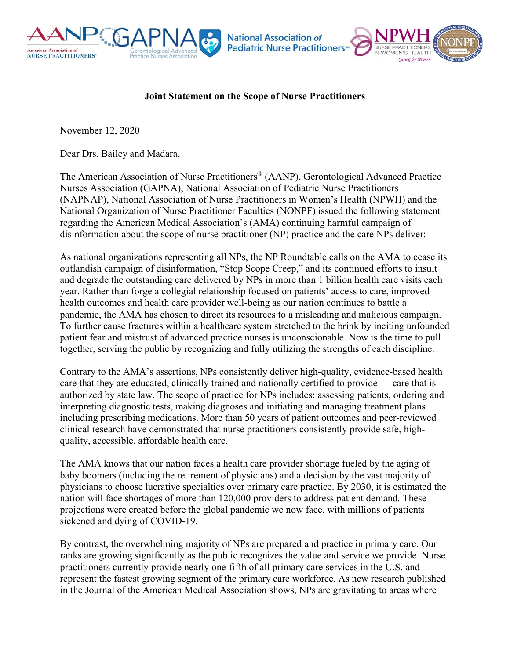

## **Joint Statement on the Scope of Nurse Practitioners**

November 12, 2020

Dear Drs. Bailey and Madara,

The American Association of Nurse Practitioners® (AANP), Gerontological Advanced Practice Nurses Association (GAPNA), National Association of Pediatric Nurse Practitioners (NAPNAP), National Association of Nurse Practitioners in Women's Health (NPWH) and the National Organization of Nurse Practitioner Faculties (NONPF) issued the following statement regarding the American Medical Association's (AMA) continuing harmful campaign of disinformation about the scope of nurse practitioner (NP) practice and the care NPs deliver:

As national organizations representing all NPs, the NP Roundtable calls on the AMA to cease its outlandish campaign of disinformation, "Stop Scope Creep," and its continued efforts to insult and degrade the outstanding care delivered by NPs in more than 1 billion health care visits each year. Rather than forge a collegial relationship focused on patients' access to care, improved health outcomes and health care provider well-being as our nation continues to battle a pandemic, the AMA has chosen to direct its resources to a misleading and malicious campaign. To further cause fractures within a healthcare system stretched to the brink by inciting unfounded patient fear and mistrust of advanced practice nurses is unconscionable. Now is the time to pull together, serving the public by recognizing and fully utilizing the strengths of each discipline.

Contrary to the AMA's assertions, NPs consistently deliver high-quality, evidence-based health care that they are educated, clinically trained and nationally certified to provide — care that is authorized by state law. The scope of practice for NPs includes: assessing patients, ordering and interpreting diagnostic tests, making diagnoses and initiating and managing treatment plans including prescribing medications. More than 50 years of patient outcomes and peer-reviewed clinical research have demonstrated that nurse practitioners consistently provide safe, highquality, accessible, affordable health care.

The AMA knows that our nation faces a health care provider shortage fueled by the aging of baby boomers (including the retirement of physicians) and a decision by the vast majority of physicians to choose lucrative specialties over primary care practice. By 2030, it is estimated the nation will face shortages of more than 120,000 providers to address patient demand. These projections were created before the global pandemic we now face, with millions of patients sickened and dying of COVID-19.

By contrast, the overwhelming majority of NPs are prepared and practice in primary care. Our ranks are growing significantly as the public recognizes the value and service we provide. Nurse practitioners currently provide nearly one-fifth of all primary care services in the U.S. and represent the fastest growing segment of the primary care workforce. As new research published in the Journal of the American Medical Association shows, NPs are gravitating to areas where